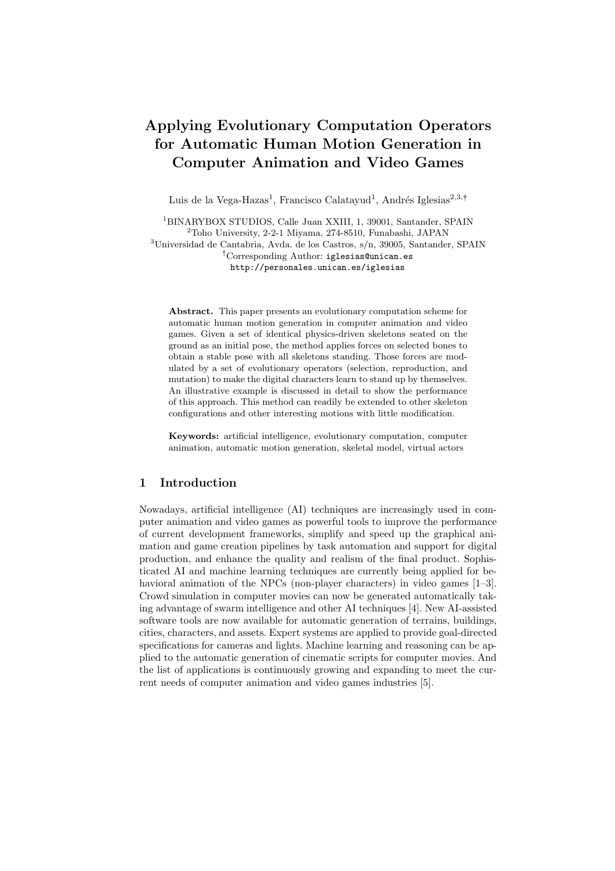# Applying Evolutionary Computation Operators for Automatic Human Motion Generation in Computer Animation and Video Games

Luis de la Vega-Hazas<sup>1</sup>, Francisco Calatayud<sup>1</sup>, Andrés Iglesias<sup>2,3,†</sup>

<sup>1</sup>BINARYBOX STUDIOS, Calle Juan XXIII, 1, 39001, Santander, SPAIN <sup>2</sup>Toho University, 2-2-1 Miyama, 274-8510, Funabashi, JAPAN <sup>3</sup>Universidad de Cantabria, Avda. de los Castros, s/n, 39005, Santander, SPAIN : Corresponding Author: iglesias@unican.es http://personales.unican.es/iglesias

Abstract. This paper presents an evolutionary computation scheme for automatic human motion generation in computer animation and video games. Given a set of identical physics-driven skeletons seated on the ground as an initial pose, the method applies forces on selected bones to obtain a stable pose with all skeletons standing. Those forces are modulated by a set of evolutionary operators (selection, reproduction, and mutation) to make the digital characters learn to stand up by themselves. An illustrative example is discussed in detail to show the performance of this approach. This method can readily be extended to other skeleton configurations and other interesting motions with little modification.

Keywords: artificial intelligence, evolutionary computation, computer animation, automatic motion generation, skeletal model, virtual actors

# 1 Introduction

Nowadays, artificial intelligence (AI) techniques are increasingly used in computer animation and video games as powerful tools to improve the performance of current development frameworks, simplify and speed up the graphical animation and game creation pipelines by task automation and support for digital production, and enhance the quality and realism of the final product. Sophisticated AI and machine learning techniques are currently being applied for behavioral animation of the NPCs (non-player characters) in video games [1-3]. Crowd simulation in computer movies can now be generated automatically taking advantage of swarm intelligence and other AI techniques [4]. New AI-assisted software tools are now available for automatic generation of terrains, buildings, cities, characters, and assets. Expert systems are applied to provide goal-directed specifications for cameras and lights. Machine learning and reasoning can be applied to the automatic generation of cinematic scripts for computer movies. And the list of applications is continuously growing and expanding to meet the current needs of computer animation and video games industries [5].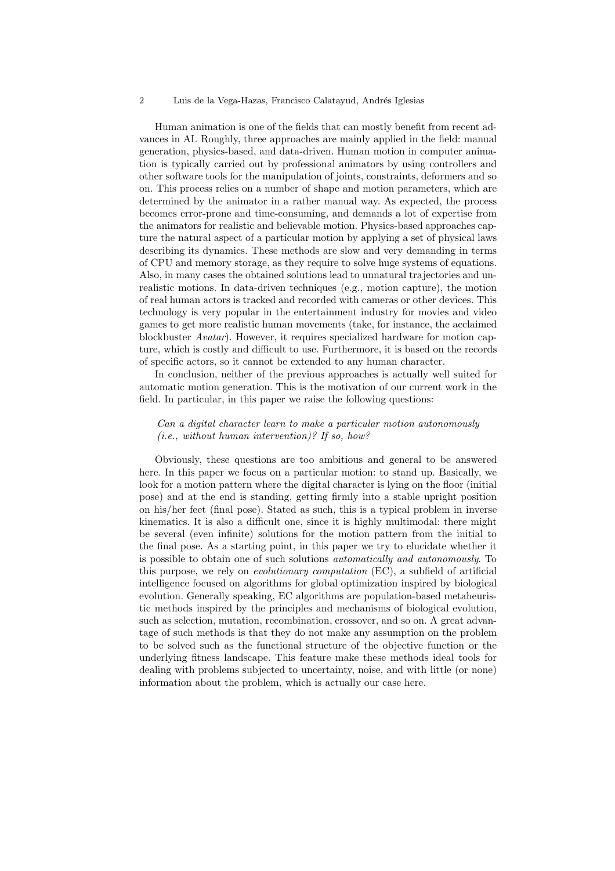### 2 Luis de la Vega-Hazas, Francisco Calatayud, Andrés Iglesias

Human animation is one of the fields that can mostly benefit from recent advances in AI. Roughly, three approaches are mainly applied in the field: manual generation, physics-based, and data-driven. Human motion in computer animation is typically carried out by professional animators by using controllers and other software tools for the manipulation of joints, constraints, deformers and so on. This process relies on a number of shape and motion parameters, which are determined by the animator in a rather manual way. As expected, the process becomes error-prone and time-consuming, and demands a lot of expertise from the animators for realistic and believable motion. Physics-based approaches capture the natural aspect of a particular motion by applying a set of physical laws describing its dynamics. These methods are slow and very demanding in terms of CPU and memory storage, as they require to solve huge systems of equations. Also, in many cases the obtained solutions lead to unnatural trajectories and unrealistic motions. In data-driven techniques (e.g., motion capture), the motion of real human actors is tracked and recorded with cameras or other devices. This technology is very popular in the entertainment industry for movies and video games to get more realistic human movements (take, for instance, the acclaimed blockbuster Avatar). However, it requires specialized hardware for motion capture, which is costly and difficult to use. Furthermore, it is based on the records of specific actors, so it cannot be extended to any human character.

In conclusion, neither of the previous approaches is actually well suited for automatic motion generation. This is the motivation of our current work in the field. In particular, in this paper we raise the following questions:

# Can a digital character learn to make a particular motion autonomously (i.e., without human intervention)? If so, how?

Obviously, these questions are too ambitious and general to be answered here. In this paper we focus on a particular motion: to stand up. Basically, we look for a motion pattern where the digital character is lying on the floor (initial pose) and at the end is standing, getting firmly into a stable upright position on his/her feet (final pose). Stated as such, this is a typical problem in inverse kinematics. It is also a difficult one, since it is highly multimodal: there might be several (even infinite) solutions for the motion pattern from the initial to the final pose. As a starting point, in this paper we try to elucidate whether it is possible to obtain one of such solutions automatically and autonomously. To this purpose, we rely on evolutionary computation (EC), a subfield of artificial intelligence focused on algorithms for global optimization inspired by biological evolution. Generally speaking, EC algorithms are population-based metaheuristic methods inspired by the principles and mechanisms of biological evolution, such as selection, mutation, recombination, crossover, and so on. A great advantage of such methods is that they do not make any assumption on the problem to be solved such as the functional structure of the objective function or the underlying fitness landscape. This feature make these methods ideal tools for dealing with problems subjected to uncertainty, noise, and with little (or none) information about the problem, which is actually our case here.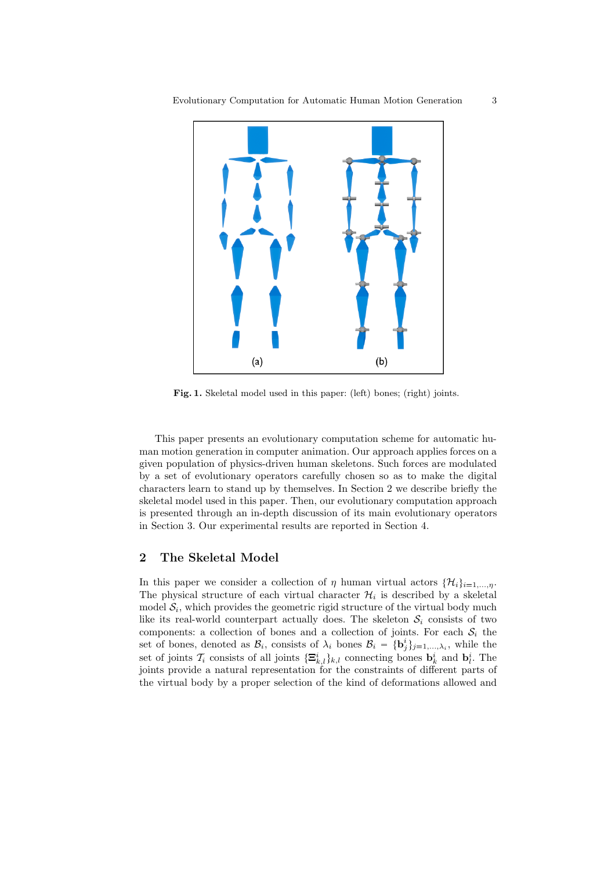

Fig. 1. Skeletal model used in this paper: (left) bones; (right) joints.

This paper presents an evolutionary computation scheme for automatic human motion generation in computer animation. Our approach applies forces on a given population of physics-driven human skeletons. Such forces are modulated by a set of evolutionary operators carefully chosen so as to make the digital characters learn to stand up by themselves. In Section 2 we describe briefly the skeletal model used in this paper. Then, our evolutionary computation approach is presented through an in-depth discussion of its main evolutionary operators in Section 3. Our experimental results are reported in Section 4.

# 2 The Skeletal Model

In this paper we consider a collection of  $\eta$  human virtual actors  $\{\mathcal{H}_i\}_{i=1,\dots,n}$ . The physical structure of each virtual character  $\mathcal{H}_i$  is described by a skeletal model  $S_i$ , which provides the geometric rigid structure of the virtual body much like its real-world counterpart actually does. The skeleton  $S_i$  consists of two components: a collection of bones and a collection of joints. For each  $S_i$  the set of bones, denoted as  $\mathcal{B}_i$ , consists of  $\lambda_i$  bones  $\mathcal{B}_i = {\mathbf{b}_j^i}_{j=1,\dots,\lambda_i}$ , while the set of joints  $\mathcal{T}_i$  consists of all joints  $\{\Xi_{k,l}^i\}_{k,l}$  connecting bones  $\mathbf{b}_k^i$  and  $\mathbf{b}_l^i$ . The joints provide a natural representation for the constraints of different parts of the virtual body by a proper selection of the kind of deformations allowed and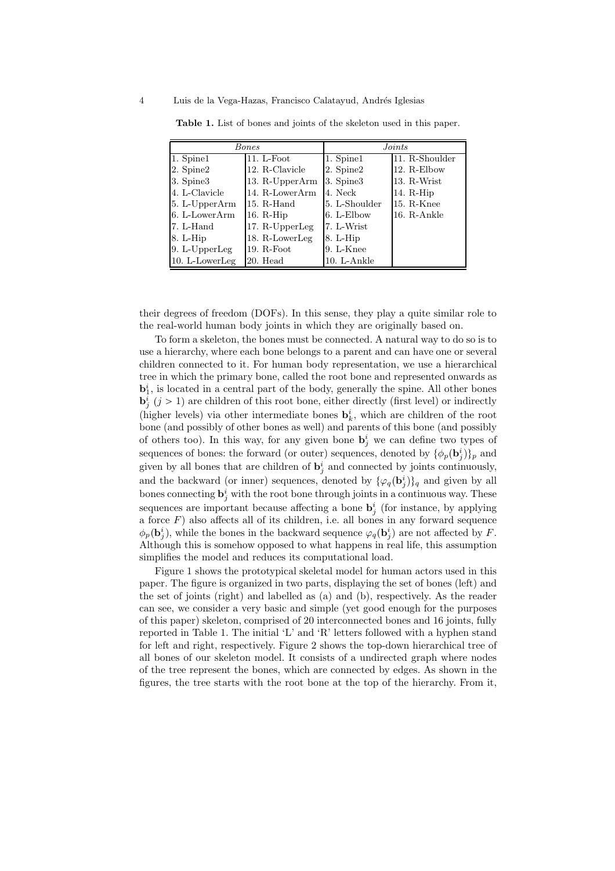#### 4 Luis de la Vega-Hazas, Francisco Calatayud, Andrés Iglesias

| $\it{Bones}$   |                | Joints        |                |
|----------------|----------------|---------------|----------------|
| 1. Spine1      | $11. L-Foot$   | 1. Spine1     | 11. R-Shoulder |
| 2. Spine2      | 12. R-Clavicle | 2. Spine2     | 12. R-Elbow    |
| 3. Spine3      | 13. R-UpperArm | 3. Spine3     | 13. R-Wrist    |
| 4. L-Clavicle  | 14. R-LowerArm | 4. Neck       | $14. R-Hip$    |
| 5. L-UpperArm  | $15. R-Hand$   | 5. L-Shoulder | $15. R-Knee$   |
| 6. L-LowerArm  | $16. R-Hip$    | 6. L-Elbow    | 16. R-Ankle    |
| 7. L-Hand      | 17. R-UpperLeg | 7. L-Wrist    |                |
| $8. L-Hip$     | 18. R-LowerLeg | $8. L-Hip$    |                |
| 9. L-UpperLeg  | $19. R-Foot$   | 9. L-Knee     |                |
| 10. L-LowerLeg | $20.$ Head     | $10.$ L-Ankle |                |

Table 1. List of bones and joints of the skeleton used in this paper.

their degrees of freedom (DOFs). In this sense, they play a quite similar role to the real-world human body joints in which they are originally based on.

To form a skeleton, the bones must be connected. A natural way to do so is to use a hierarchy, where each bone belongs to a parent and can have one or several children connected to it. For human body representation, we use a hierarchical tree in which the primary bone, called the root bone and represented onwards as  $\mathbf{b}_1^i$ , is located in a central part of the body, generally the spine. All other bones  $\mathbf{b}_j^i$  ( $j > 1$ ) are children of this root bone, either directly (first level) or indirectly (higher levels) via other intermediate bones  $\mathbf{b}_k^i$ , which are children of the root bone (and possibly of other bones as well) and parents of this bone (and possibly of others too). In this way, for any given bone  $\mathbf{b}_j^i$  we can define two types of sequences of bones: the forward (or outer) sequences, denoted by  $\{\phi_p(\mathbf{b}_j^i)\}_p$  and given by all bones that are children of  $\mathbf{b}_j^i$  and connected by joints continuously, and the backward (or inner) sequences, denoted by  $\{\varphi_q(\mathbf{b}_j^i)\}_q$  and given by all bones connecting  $\mathbf{b}_j^i$  with the root bone through joints in a continuous way. These sequences are important because affecting a bone  $\mathbf{b}_j^i$  (for instance, by applying a force  $F$ ) also affects all of its children, i.e. all bones in any forward sequence  $\phi_p(\mathbf{b}_j^i)$ , while the bones in the backward sequence  $\varphi_q(\mathbf{b}_j^i)$  are not affected by F. Although this is somehow opposed to what happens in real life, this assumption simplifies the model and reduces its computational load.

Figure 1 shows the prototypical skeletal model for human actors used in this paper. The figure is organized in two parts, displaying the set of bones (left) and the set of joints (right) and labelled as (a) and (b), respectively. As the reader can see, we consider a very basic and simple (yet good enough for the purposes of this paper) skeleton, comprised of 20 interconnected bones and 16 joints, fully reported in Table 1. The initial 'L' and 'R' letters followed with a hyphen stand for left and right, respectively. Figure 2 shows the top-down hierarchical tree of all bones of our skeleton model. It consists of a undirected graph where nodes of the tree represent the bones, which are connected by edges. As shown in the figures, the tree starts with the root bone at the top of the hierarchy. From it,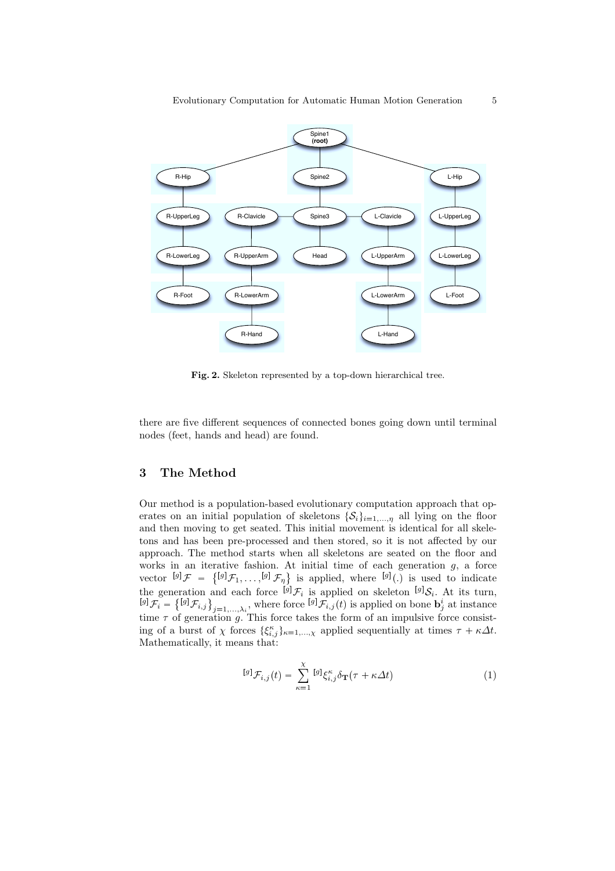

Fig. 2. Skeleton represented by a top-down hierarchical tree.

there are five different sequences of connected bones going down until terminal nodes (feet, hands and head) are found.

# 3 The Method

Our method is a population-based evolutionary computation approach that operates on an initial population of skeletons  $\{\mathcal{S}_i\}_{i=1,\dots,\eta}$  all lying on the floor and then moving to get seated. This initial movement is identical for all skeletons and has been pre-processed and then stored, so it is not affected by our approach. The method starts when all skeletons are seated on the floor and works in an iterative fashion. At initial time of each generation  $g$ , a force vector  $^{[g]}{\mathcal{F}} = \{^{[g]}{\mathcal{F}}_1,\ldots,^{[g]}{\mathcal{F}}_\eta\}$  is applied, where  $^{[g]}(.)$  is used to indicate the generation and each force  $^{[g]}{\mathcal{F}}_i$  is applied on skeleton  $^{[g]}{\mathcal{S}}_i$ . At its turn,  $^{[g]}{\mathcal{F}}_i = \{^{[g]}{\mathcal{F}}_{i,j}\}_{j=1,\ldots,\lambda_i}$ , where force  $^{[g]}{\mathcal{F}}_{i,j}(t)$  is applied on bone  $\mathbf{b}_j^i$  at instance time  $\tau$  of generation g. This force takes the form of an impulsive force consisting of a burst of  $\chi$  forces  $\{\xi_{i,j}^{\kappa}\}_{\kappa=1,\ldots,\chi}$  applied sequentially at times  $\tau + \kappa \Delta t$ . Mathematically, it means that:

$$
[g] \mathcal{F}_{i,j}(t) = \sum_{\kappa=1}^{\chi} [g] \xi_{i,j}^{\kappa} \delta_{\mathbf{T}}(\tau + \kappa \Delta t)
$$
 (1)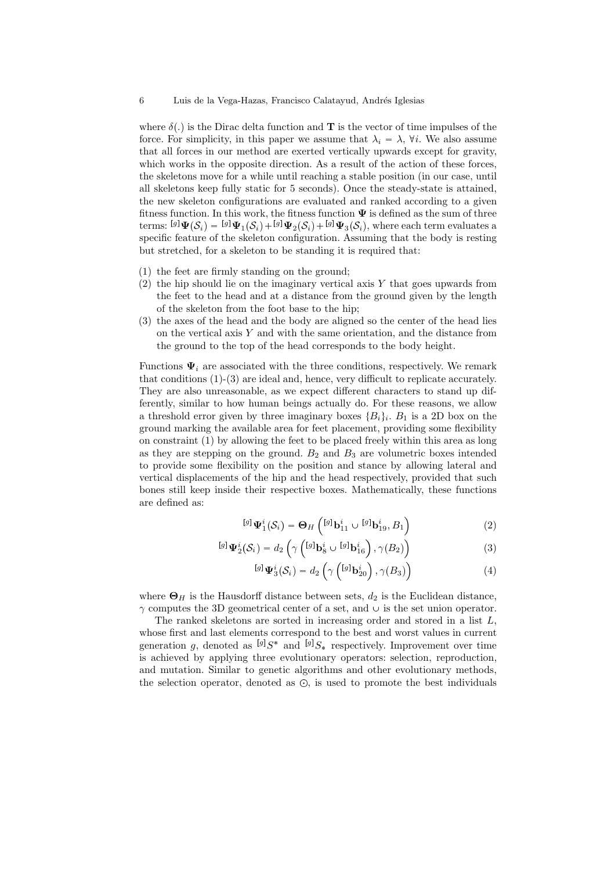where  $\delta(.)$  is the Dirac delta function and **T** is the vector of time impulses of the force. For simplicity, in this paper we assume that  $\lambda_i = \lambda$ ,  $\forall i$ . We also assume that all forces in our method are exerted vertically upwards except for gravity, which works in the opposite direction. As a result of the action of these forces, the skeletons move for a while until reaching a stable position (in our case, until all skeletons keep fully static for 5 seconds). Once the steady-state is attained, the new skeleton configurations are evaluated and ranked according to a given fitness function. In this work, the fitness function  $\Psi$  is defined as the sum of three terms:  $\mathcal{G}[\Psi(\mathcal{S}_i) = \mathcal{G}[\Psi_1(\mathcal{S}_i) + \mathcal{G}[\Psi_2(\mathcal{S}_i) + \mathcal{G}[\Psi_3(\mathcal{S}_i)]$ , where each term evaluates a specific feature of the skeleton configuration. Assuming that the body is resting but stretched, for a skeleton to be standing it is required that:

- (1) the feet are firmly standing on the ground;
- (2) the hip should lie on the imaginary vertical axis Y that goes upwards from the feet to the head and at a distance from the ground given by the length of the skeleton from the foot base to the hip;
- (3) the axes of the head and the body are aligned so the center of the head lies on the vertical axis  $Y$  and with the same orientation, and the distance from the ground to the top of the head corresponds to the body height.

Functions  $\Psi_i$  are associated with the three conditions, respectively. We remark that conditions (1)-(3) are ideal and, hence, very difficult to replicate accurately. They are also unreasonable, as we expect different characters to stand up differently, similar to how human beings actually do. For these reasons, we allow a threshold error given by three imaginary boxes  ${B_i}_i$ .  $B_1$  is a 2D box on the ground marking the available area for feet placement, providing some flexibility on constraint (1) by allowing the feet to be placed freely within this area as long as they are stepping on the ground.  $B_2$  and  $B_3$  are volumetric boxes intended to provide some flexibility on the position and stance by allowing lateral and vertical displacements of the hip and the head respectively, provided that such bones still keep inside their respective boxes. Mathematically, these functions are defined as:

$$
[g] \Psi_1^i(\mathcal{S}_i) = \mathbf{\Theta}_H \left( [g] \mathbf{b}_{11}^i \cup [g] \mathbf{b}_{19}^i, B_1 \right) \tag{2}
$$

$$
[g] \Psi_2^i(\mathcal{S}_i) = d_2 \left( \gamma \left( [g] \mathbf{b}_8^i \cup [g] \mathbf{b}_{16}^i \right), \gamma(B_2) \right) \tag{3}
$$

$$
[g] \mathbf{\Psi}_3^i(\mathcal{S}_i) = d_2\left(\gamma\left( [g] \mathbf{b}_{20}^i \right), \gamma(B_3) \right) \tag{4}
$$

where  $\Theta_H$  is the Hausdorff distance between sets,  $d_2$  is the Euclidean distance,  $\gamma$  computes the 3D geometrical center of a set, and  $\cup$  is the set union operator.

The ranked skeletons are sorted in increasing order and stored in a list  $L$ , whose first and last elements correspond to the best and worst values in current generation g, denoted as  $^{[g]}S^*$  and  $^{[g]}S_*$  respectively. Improvement over time is achieved by applying three evolutionary operators: selection, reproduction, and mutation. Similar to genetic algorithms and other evolutionary methods, the selection operator, denoted as  $\odot$ , is used to promote the best individuals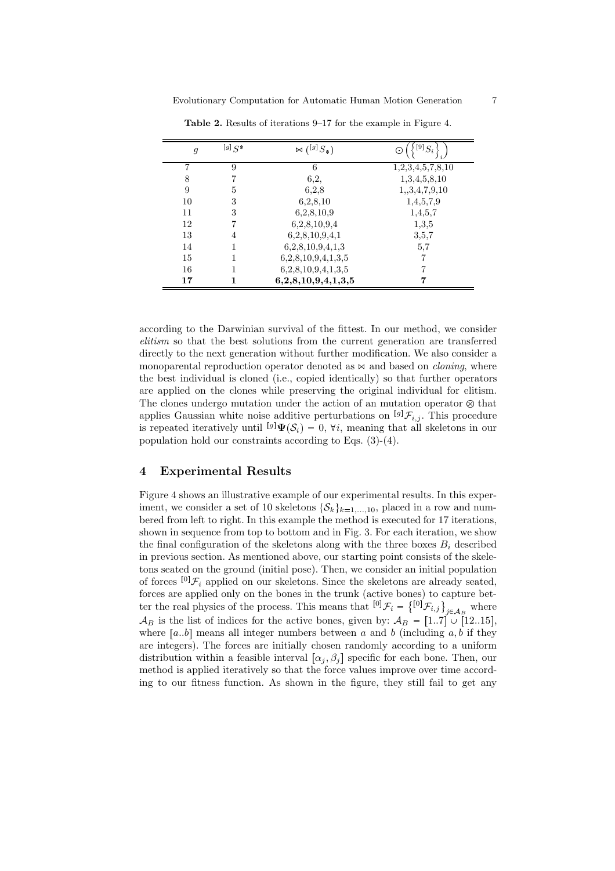| $\mathfrak g$ | $[g]$ $S^*$ | $\bowtie$ $(^{[g]}S_*)$ | $\sqrt{^{[9]}}S_i$ (<br>$\odot$ |
|---------------|-------------|-------------------------|---------------------------------|
|               | 9           | 6                       | 1,2,3,4,5,7,8,10                |
| 8             |             | 6,2,                    | 1,3,4,5,8,10                    |
| 9             | 5           | 6,2,8                   | 1,3,4,7,9,10                    |
| 10            | 3           | 6,2,8,10                | 1,4,5,7,9                       |
| 11            | 3           | 6,2,8,10,9              | 1,4,5,7                         |
| 12            |             | 6,2,8,10,9,4            | 1,3,5                           |
| 13            | 4           | 6,2,8,10,9,4,1          | 3,5,7                           |
| 14            |             | 6,2,8,10,9,4,1,3        | 5.7                             |
| 15            |             | 6,2,8,10,9,4,1,3,5      |                                 |
| 16            |             | 6,2,8,10,9,4,1,3,5      |                                 |
| 17            |             | 6,2,8,10,9,4,1,3,5      |                                 |

Table 2. Results of iterations 9–17 for the example in Figure 4.

according to the Darwinian survival of the fittest. In our method, we consider elitism so that the best solutions from the current generation are transferred directly to the next generation without further modification. We also consider a monoparental reproduction operator denoted as  $\bowtie$  and based on *cloning*, where the best individual is cloned (i.e., copied identically) so that further operators are applied on the clones while preserving the original individual for elitism. The clones undergo mutation under the action of an mutation operator  $\otimes$  that applies Gaussian white noise additive perturbations on  $^{[g]}{\mathcal{F}}_{i,j}$ . This procedure is repeated iteratively until  $^{[g]} \Psi(\mathcal{S}_i) = 0$ ,  $\forall i$ , meaning that all skeletons in our population hold our constraints according to Eqs. (3)-(4).

# 4 Experimental Results

Figure 4 shows an illustrative example of our experimental results. In this experiment, we consider a set of 10 skeletons  $\{S_k\}_{k=1,\ldots,10}$ , placed in a row and numbered from left to right. In this example the method is executed for 17 iterations, shown in sequence from top to bottom and in Fig. 3. For each iteration, we show the final configuration of the skeletons along with the three boxes  $B_i$  described in previous section. As mentioned above, our starting point consists of the skeletons seated on the ground (initial pose). Then, we consider an initial population of forces  ${}^{[0]}{\mathcal{F}}_i$  applied on our skeletons. Since the skeletons are already seated, forces are applied only on the bones in the trunk (active bones) to capture better the real physics of the process. This means that  $[0]$   $\mathcal{F}_i = \{ [0] \mathcal{F}_{i,j} \}_{j \in \mathcal{A}_B}$  where  $\mathcal{A}_B$  is the list of indices for the active bones, given by:  $\mathcal{A}_B = [1..7] \cup [12..15]$ , where  $[a..b]$  means all integer numbers between a and b (including a, b if they are integers). The forces are initially chosen randomly according to a uniform distribution within a feasible interval  $\lbrack \alpha_j, \beta_j \rbrack$  specific for each bone. Then, our method is applied iteratively so that the force values improve over time according to our fitness function. As shown in the figure, they still fail to get any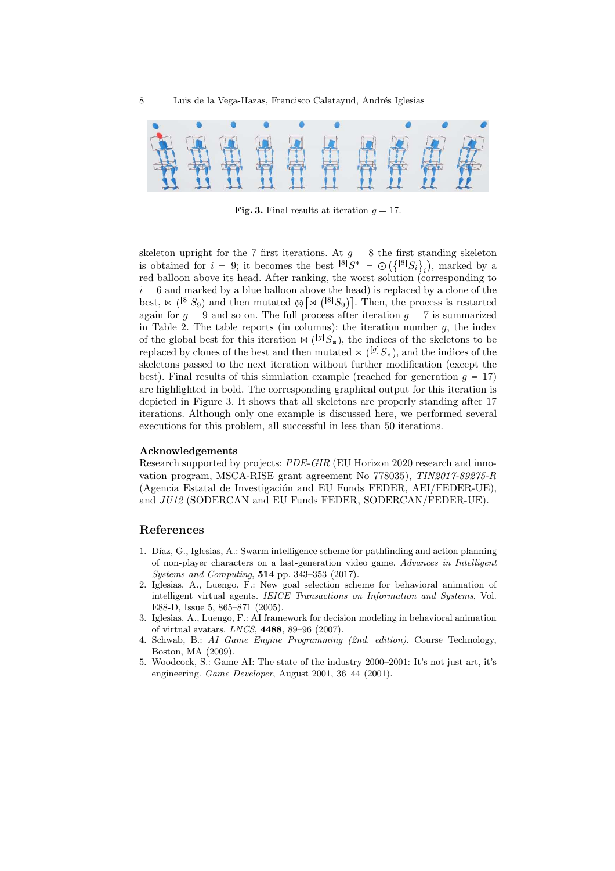

Fig. 3. Final results at iteration  $q = 17$ .

skeleton upright for the 7 first iterations. At  $g = 8$  the first standing skeleton is obtained for  $i = 9$ ; it becomes the best  $\binom{8}{S^*} = \bigcirc \left( \binom{[8]}{S_i}_i \right)$ , marked by a red balloon above its head. After ranking, the worst solution (corresponding to  $i = 6$  and marked by a blue balloon above the head) is replaced by a clone of the best,  $\bowtie$  (<sup>[8]</sup> $S_9$ ) and then mutated  $\otimes \lceil \bowtie \rceil$  $(\binom{[8]}{S_9})$ . Then, the process is restarted again for  $q = 9$  and so on. The full process after iteration  $q = 7$  is summarized in Table 2. The table reports (in columns): the iteration number  $q$ , the index of the global best for this iteration  $\bowtie$  ( $^{[g]}S_*$ ), the indices of the skeletons to be replaced by clones of the best and then mutated  $\bowtie$  ( $[g] S_*$ ), and the indices of the skeletons passed to the next iteration without further modification (except the best). Final results of this simulation example (reached for generation  $g = 17$ ) are highlighted in bold. The corresponding graphical output for this iteration is depicted in Figure 3. It shows that all skeletons are properly standing after 17 iterations. Although only one example is discussed here, we performed several executions for this problem, all successful in less than 50 iterations.

### Acknowledgements

Research supported by projects: PDE-GIR (EU Horizon 2020 research and innovation program, MSCA-RISE grant agreement No 778035), TIN2017-89275-R (Agencia Estatal de Investigación and EU Funds FEDER, AEI/FEDER-UE), and JU12 (SODERCAN and EU Funds FEDER, SODERCAN/FEDER-UE).

## References

- 1. Díaz, G., Iglesias, A.: Swarm intelligence scheme for pathfinding and action planning of non-player characters on a last-generation video game. Advances in Intelligent Systems and Computing, 514 pp. 343–353 (2017).
- 2. Iglesias, A., Luengo, F.: New goal selection scheme for behavioral animation of intelligent virtual agents. IEICE Transactions on Information and Systems, Vol. E88-D, Issue 5, 865–871 (2005).
- 3. Iglesias, A., Luengo, F.: AI framework for decision modeling in behavioral animation of virtual avatars. LNCS, 4488, 89–96 (2007).
- 4. Schwab, B.: AI Game Engine Programming (2nd. edition). Course Technology, Boston, MA (2009).
- 5. Woodcock, S.: Game AI: The state of the industry 2000–2001: It's not just art, it's engineering. Game Developer, August 2001, 36–44 (2001).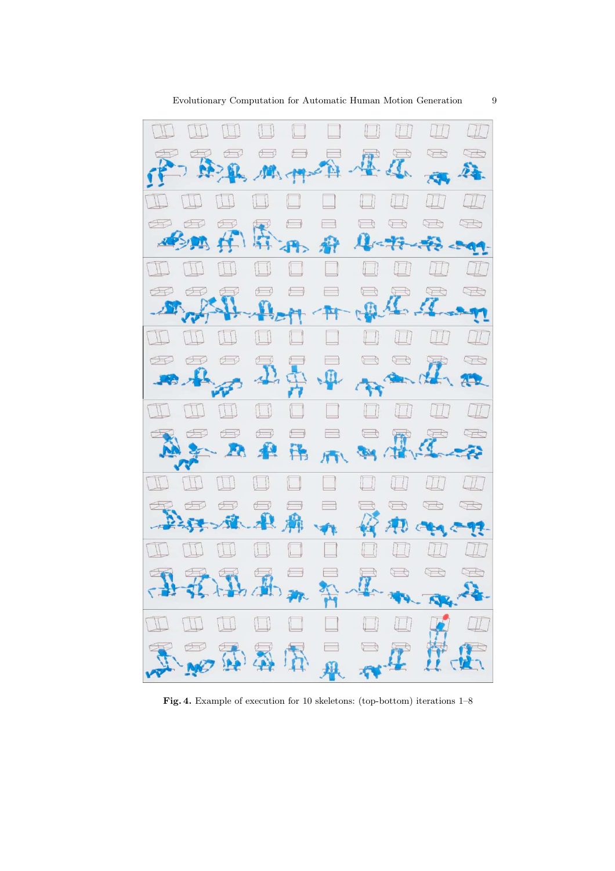

Fig. 4. Example of execution for 10 skeletons: (top-bottom) iterations 1–8

听